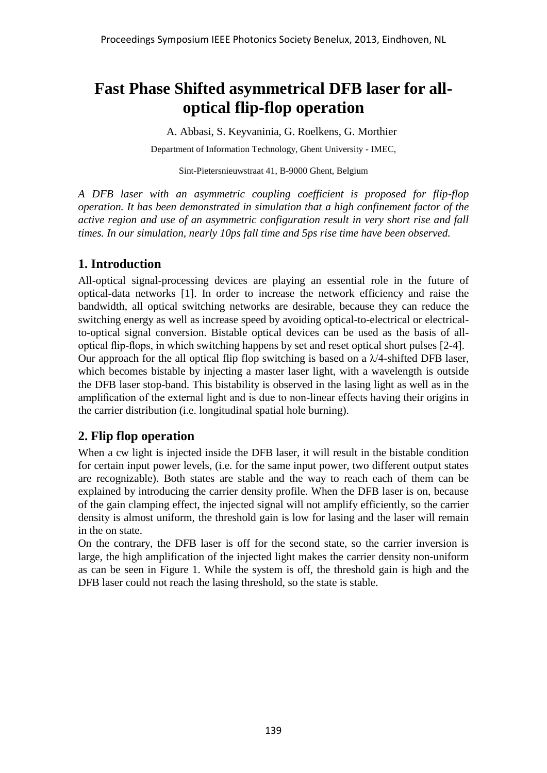# **Fast Phase Shifted asymmetrical DFB laser for alloptical flip-flop operation**

A. Abbasi, S. Keyvaninia, G. Roelkens, G. Morthier Department of Information Technology, Ghent University - IMEC,

Sint-Pietersnieuwstraat 41, B-9000 Ghent, Belgium

*A DFB laser with an asymmetric coupling coefficient is proposed for flip-flop operation. It has been demonstrated in simulation that a high confinement factor of the active region and use of an asymmetric configuration result in very short rise and fall times. In our simulation, nearly 10ps fall time and 5ps rise time have been observed.*

## **1. Introduction**

All-optical signal-processing devices are playing an essential role in the future of optical-data networks [1]. In order to increase the network efficiency and raise the bandwidth, all optical switching networks are desirable, because they can reduce the switching energy as well as increase speed by avoiding optical-to-electrical or electricalto-optical signal conversion. Bistable optical devices can be used as the basis of alloptical flip-flops, in which switching happens by set and reset optical short pulses [2-4]. Our approach for the all optical flip flop switching is based on a  $\lambda/4$ -shifted DFB laser, which becomes bistable by injecting a master laser light, with a wavelength is outside the DFB laser stop-band. This bistability is observed in the lasing light as well as in the amplification of the external light and is due to non-linear effects having their origins in the carrier distribution (i.e. longitudinal spatial hole burning).

## **2. Flip flop operation**

When a cw light is injected inside the DFB laser, it will result in the bistable condition for certain input power levels, (i.e. for the same input power, two different output states are recognizable). Both states are stable and the way to reach each of them can be explained by introducing the carrier density profile. When the DFB laser is on, because of the gain clamping effect, the injected signal will not amplify efficiently, so the carrier density is almost uniform, the threshold gain is low for lasing and the laser will remain in the on state.

On the contrary, the DFB laser is off for the second state, so the carrier inversion is large, the high amplification of the injected light makes the carrier density non-uniform as can be seen in Figure 1. While the system is off, the threshold gain is high and the DFB laser could not reach the lasing threshold, so the state is stable.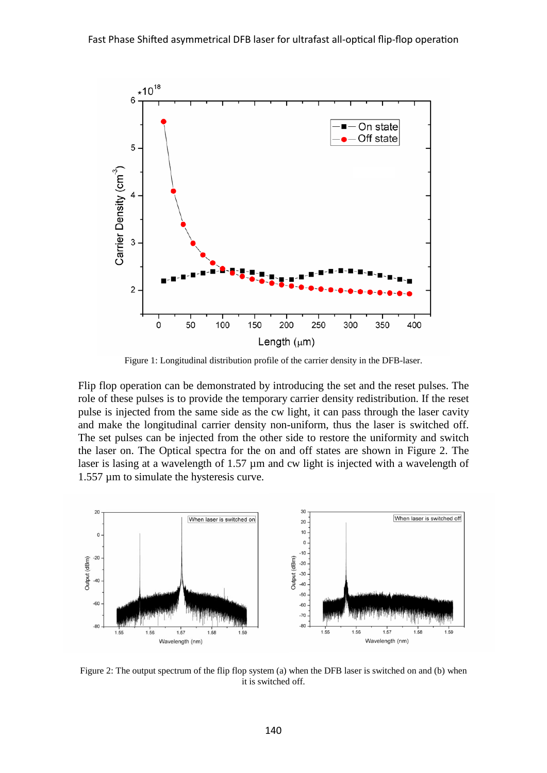

Figure 1: Longitudinal distribution profile of the carrier density in the DFB-laser.

Flip flop operation can be demonstrated by introducing the set and the reset pulses. The role of these pulses is to provide the temporary carrier density redistribution. If the reset pulse is injected from the same side as the cw light, it can pass through the laser cavity and make the longitudinal carrier density non-uniform, thus the laser is switched off. The set pulses can be injected from the other side to restore the uniformity and switch the laser on. The Optical spectra for the on and off states are shown in Figure 2. The laser is lasing at a wavelength of 1.57  $\mu$ m and cw light is injected with a wavelength of 1.557 µm to simulate the hysteresis curve.



Figure 2: The output spectrum of the flip flop system (a) when the DFB laser is switched on and (b) when it is switched off.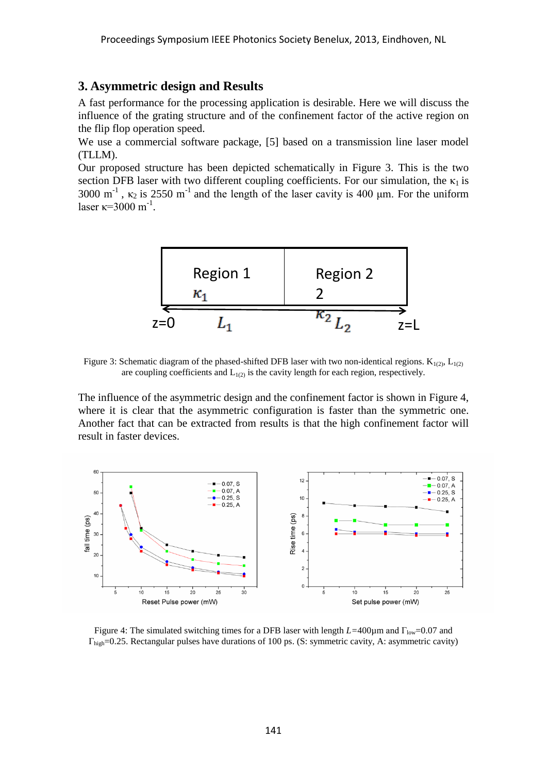#### **3. Asymmetric design and Results**

A fast performance for the processing application is desirable. Here we will discuss the influence of the grating structure and of the confinement factor of the active region on the flip flop operation speed.

We use a commercial software package, [5] based on a transmission line laser model (TLLM).

Our proposed structure has been depicted schematically in Figure 3. This is the two section DFB laser with two different coupling coefficients. For our simulation, the  $\kappa_1$  is 3000 m<sup>-1</sup>,  $\kappa_2$  is 2550 m<sup>-1</sup> and the length of the laser cavity is 400 µm. For the uniform laser  $\kappa = 3000$  m<sup>-1</sup>.



Figure 3: Schematic diagram of the phased-shifted DFB laser with two non-identical regions.  $K_{1(2)}$ ,  $L_{1(2)}$ are coupling coefficients and  $L_{1(2)}$  is the cavity length for each region, respectively.

The influence of the asymmetric design and the confinement factor is shown in Figure 4, where it is clear that the asymmetric configuration is faster than the symmetric one. Another fact that can be extracted from results is that the high confinement factor will result in faster devices.



Figure 4: The simulated switching times for a DFB laser with length  $L=400\mu$ m and Γ<sub>low</sub>=0.07 and  $\Gamma_{\text{hib}}=0.25$ . Rectangular pulses have durations of 100 ps. (S: symmetric cavity, A: asymmetric cavity)